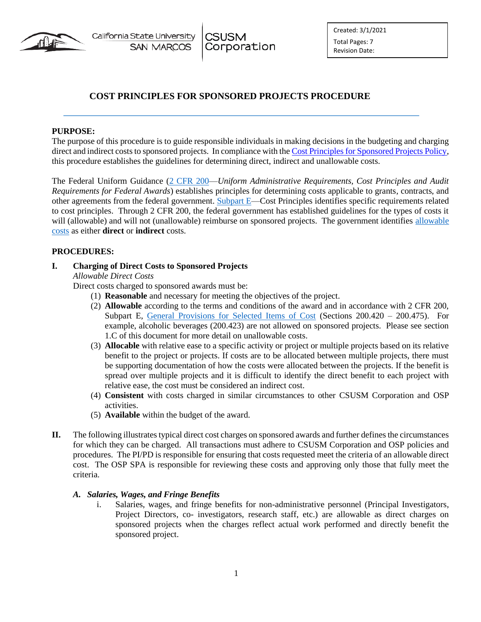

Created: 3/1/2021 Total Pages: 7 Revision Date:

# **COST PRINCIPLES FOR SPONSORED PROJECTS PROCEDURE**

**CSUSM** 

Corporation

### **PURPOSE:**

The purpose of this procedure is to guide responsible individuals in making decisions in the budgeting and charging direct and indirect costs to sponsored projects. In compliance with th[e Cost Principles for Sponsored Projects Policy,](https://www.csusm.edu/corp/businesssrvcesandfinance/policies_proc_forms/pol_osp/corp305sponsoredprojectscostprincipal.pdf) this procedure establishes the guidelines for determining direct, indirect and unallowable costs.

The Federal Uniform Guidance [\(2 CFR 200—](http://www.ecfr.gov/cgi-bin/text-idx?SID=7200dfd65bfcaa7ba4f73a512b9fc8c3&mc=true&node=pt2.1.200&rgn=div5)*Uniform Administrative Requirements, Cost Principles and Audit Requirements for Federal Awards*) establishes principles for determining costs applicable to grants, contracts, and other agreements from the federal government. [Subpart E—](http://www.ecfr.gov/cgi-bin/text-idx?SID=7200dfd65bfcaa7ba4f73a512b9fc8c3&mc=true&node=pt2.1.200&rgn=div5#sp2.1.200.e)Cost Principles identifies specific requirements related to cost principles. Through 2 CFR 200, the federal government has established guidelines for the types of costs it will (allowable) and will not (unallowable) reimburse on sponsored projects. The government identifies [allowable](http://www.ecfr.gov/cgi-bin/text-idx?SID=7200dfd65bfcaa7ba4f73a512b9fc8c3&mc=true&node=pt2.1.200&rgn=div5#se2.1.200_1403)  [costs](http://www.ecfr.gov/cgi-bin/text-idx?SID=7200dfd65bfcaa7ba4f73a512b9fc8c3&mc=true&node=pt2.1.200&rgn=div5#se2.1.200_1403) as either **direct** or **indirect** costs.

#### **PROCEDURES:**

#### **I. Charging of Direct Costs to Sponsored Projects**

*Allowable Direct Costs* 

Direct costs charged to sponsored awards must be:

- (1) **Reasonable** and necessary for meeting the objectives of the project.
- (2) **Allowable** according to the terms and conditions of the award and in accordance with 2 CFR 200, Subpart E, [General Provisions for Selected Items of Cost](http://www.ecfr.gov/cgi-bin/text-idx?SID=7200dfd65bfcaa7ba4f73a512b9fc8c3&mc=true&node=pt2.1.200&rgn=div5#sg2.1.200_1419.sg16) (Sections 200.420 – 200.475). For example, alcoholic beverages (200.423) are not allowed on sponsored projects. Please see section 1.C of this document for more detail on unallowable costs.
- (3) **Allocable** with relative ease to a specific activity or project or multiple projects based on its relative benefit to the project or projects. If costs are to be allocated between multiple projects, there must be supporting documentation of how the costs were allocated between the projects. If the benefit is spread over multiple projects and it is difficult to identify the direct benefit to each project with relative ease, the cost must be considered an indirect cost.
- (4) **Consistent** with costs charged in similar circumstances to other CSUSM Corporation and OSP activities.
- (5) **Available** within the budget of the award.
- **II.** The following illustrates typical direct cost charges on sponsored awards and further defines the circumstances for which they can be charged. All transactions must adhere to CSUSM Corporation and OSP policies and procedures. The PI/PD is responsible for ensuring that costs requested meet the criteria of an allowable direct cost. The OSP SPA is responsible for reviewing these costs and approving only those that fully meet the criteria.

#### *A. Salaries, Wages, and Fringe Benefits*

i. Salaries, wages, and fringe benefits for non-administrative personnel (Principal Investigators, Project Directors, co- investigators, research staff, etc.) are allowable as direct charges on sponsored projects when the charges reflect actual work performed and directly benefit the sponsored project.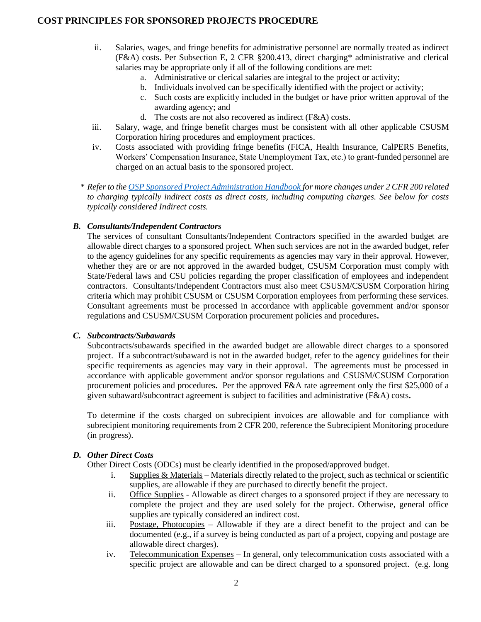- ii. Salaries, wages, and fringe benefits for administrative personnel are normally treated as indirect (F&A) costs. Per Subsection E, 2 CFR §200.413, direct charging\* administrative and clerical salaries may be appropriate only if all of the following conditions are met:
	- a. Administrative or clerical salaries are integral to the project or activity;
	- b. Individuals involved can be specifically identified with the project or activity;
	- c. Such costs are explicitly included in the budget or have prior written approval of the awarding agency; and
	- d. The costs are not also recovered as indirect (F&A) costs.
- iii. Salary, wage, and fringe benefit charges must be consistent with all other applicable CSUSM Corporation hiring procedures and employment practices.
- iv. Costs associated with providing fringe benefits (FICA, Health Insurance, CalPERS Benefits, Workers' Compensation Insurance, State Unemployment Tax, etc.) to grant-funded personnel are charged on an actual basis to the sponsored project.
- *\* Refer to th[e OSP Sponsored Project Administration Handbook](https://csyou.calstate.edu/Divisions-Orgs/bus-fin/Financial-Services/spa/Documents/PI_UG_QuickRefGuide%20Dec2014_v1.2%20Mar2015.pdf) for more changes under 2 CFR 200 related to charging typically indirect costs as direct costs, including computing charges. See below for costs typically considered Indirect costs.*

#### *B. Consultants/Independent Contractors*

The services of consultant Consultants/Independent Contractors specified in the awarded budget are allowable direct charges to a sponsored project. When such services are not in the awarded budget, refer to the agency guidelines for any specific requirements as agencies may vary in their approval. However, whether they are or are not approved in the awarded budget, CSUSM Corporation must comply with State/Federal laws and CSU policies regarding the proper classification of employees and independent contractors. Consultants/Independent Contractors must also meet CSUSM/CSUSM Corporation hiring criteria which may prohibit CSUSM or CSUSM Corporation employees from performing these services. Consultant agreements must be processed in accordance with applicable government and/or sponsor regulations and CSUSM/CSUSM Corporation procurement policies and procedures**.** 

#### *C. Subcontracts/Subawards*

Subcontracts/subawards specified in the awarded budget are allowable direct charges to a sponsored project. If a subcontract/subaward is not in the awarded budget, refer to the agency guidelines for their specific requirements as agencies may vary in their approval. The agreements must be processed in accordance with applicable government and/or sponsor regulations and CSUSM/CSUSM Corporation procurement policies and procedures**.** Per the approved F&A rate agreement only the first \$25,000 of a given subaward/subcontract agreement is subject to facilities and administrative (F&A) costs**.** 

To determine if the costs charged on subrecipient invoices are allowable and for compliance with subrecipient monitoring requirements from 2 CFR 200, reference the Subrecipient Monitoring procedure (in progress).

### *D. Other Direct Costs*

Other Direct Costs (ODCs) must be clearly identified in the proposed/approved budget.

- i. Supplies & Materials Materials directly related to the project, such as technical or scientific supplies, are allowable if they are purchased to directly benefit the project.
- ii. Office Supplies Allowable as direct charges to a sponsored project if they are necessary to complete the project and they are used solely for the project. Otherwise, general office supplies are typically considered an indirect cost.
- iii. Postage, Photocopies Allowable if they are a direct benefit to the project and can be documented (e.g., if a survey is being conducted as part of a project, copying and postage are allowable direct charges).
- iv. Telecommunication Expenses In general, only telecommunication costs associated with a specific project are allowable and can be direct charged to a sponsored project. (e.g. long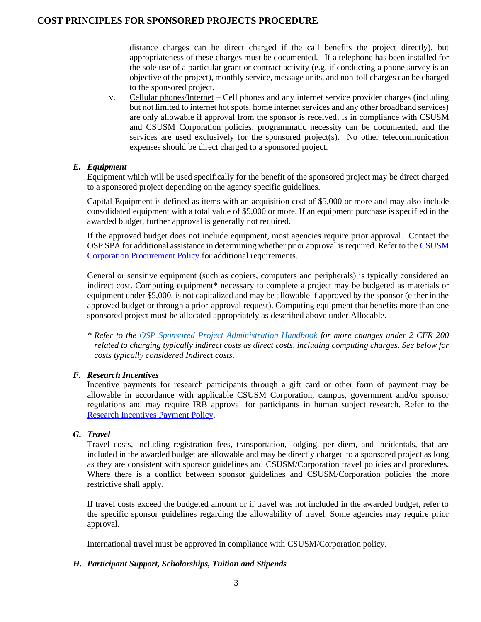distance charges can be direct charged if the call benefits the project directly), but appropriateness of these charges must be documented. If a telephone has been installed for the sole use of a particular grant or contract activity (e.g. if conducting a phone survey is an objective of the project), monthly service, message units, and non-toll charges can be charged to the sponsored project.

v. Cellular phones/Internet – Cell phones and any internet service provider charges (including but not limited to internet hot spots, home internet services and any other broadband services) are only allowable if approval from the sponsor is received, is in compliance with CSUSM and CSUSM Corporation policies, programmatic necessity can be documented, and the services are used exclusively for the sponsored project(s). No other telecommunication expenses should be direct charged to a sponsored project.

### *E. Equipment*

Equipment which will be used specifically for the benefit of the sponsored project may be direct charged to a sponsored project depending on the agency specific guidelines.

Capital Equipment is defined as items with an acquisition cost of \$5,000 or more and may also include consolidated equipment with a total value of \$5,000 or more. If an equipment purchase is specified in the awarded budget, further approval is generally not required.

If the approved budget does not include equipment, most agencies require prior approval. Contact the OSP SPA for additional assistance in determining whether prior approval is required. Refer to the CSUSM [Corporation Procurement Policy](https://www.csusm.edu/corp/businesssrvcesandfinance/policies_proc_forms/pol_busserv_fin_acc/procurementpolicy.pdf) for additional requirements.

General or sensitive equipment (such as copiers, computers and peripherals) is typically considered an indirect cost. Computing equipment\* necessary to complete a project may be budgeted as materials or equipment under \$5,000, is not capitalized and may be allowable if approved by the sponsor (either in the approved budget or through a prior-approval request). Computing equipment that benefits more than one sponsored project must be allocated appropriately as described above under Allocable.

*\* Refer to the [OSP Sponsored Project Administration Handbook](https://csyou.calstate.edu/Divisions-Orgs/bus-fin/Financial-Services/spa/Documents/PI_UG_QuickRefGuide%20Dec2014_v1.2%20Mar2015.pdf) for more changes under 2 CFR 200 related to charging typically indirect costs as direct costs, including computing charges. See below for costs typically considered Indirect costs.* 

## *F. Research Incentives*

Incentive payments for research participants through a gift card or other form of payment may be allowable in accordance with applicable CSUSM Corporation, campus, government and/or sponsor regulations and may require IRB approval for participants in human subject research. Refer to the [Research Incentives](https://www.csusm.edu/corp/businesssrvcesandfinance/policies_proc_forms/pol_osp/corp306researchincentivepaymentpolicy.pdf) Payment Policy.

## *G. Travel*

Travel costs, including registration fees, transportation, lodging, per diem, and incidentals, that are included in the awarded budget are allowable and may be directly charged to a sponsored project as long as they are consistent with sponsor guidelines and CSUSM/Corporation travel policies and procedures. Where there is a conflict between sponsor guidelines and CSUSM/Corporation policies the more restrictive shall apply.

If travel costs exceed the budgeted amount or if travel was not included in the awarded budget, refer to the specific sponsor guidelines regarding the allowability of travel. Some agencies may require prior approval.

International travel must be approved in compliance with CSUSM/Corporation policy.

### *H. Participant Support, Scholarships, Tuition and Stipends*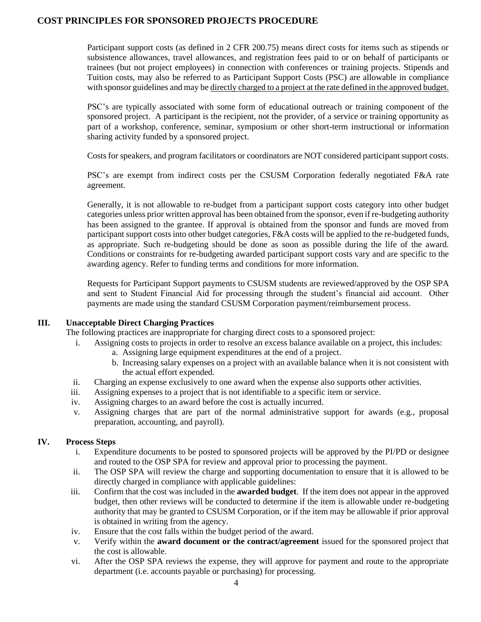Participant support costs (as defined in 2 CFR 200.75) means direct costs for items such as stipends or subsistence allowances, travel allowances, and registration fees paid to or on behalf of participants or trainees (but not project employees) in connection with conferences or training projects. Stipends and Tuition costs, may also be referred to as Participant Support Costs (PSC) are allowable in compliance with sponsor guidelines and may be directly charged to a project at the rate defined in the approved budget.

PSC's are typically associated with some form of educational outreach or training component of the sponsored project. A participant is the recipient, not the provider, of a service or training opportunity as part of a workshop, conference, seminar, symposium or other short-term instructional or information sharing activity funded by a sponsored project.

Costs for speakers, and program facilitators or coordinators are NOT considered participant support costs.

PSC's are exempt from indirect costs per the CSUSM Corporation federally negotiated F&A rate agreement.

Generally, it is not allowable to re-budget from a participant support costs category into other budget categories unless prior written approval has been obtained from the sponsor, even if re-budgeting authority has been assigned to the grantee. If approval is obtained from the sponsor and funds are moved from participant support costs into other budget categories, F&A costs will be applied to the re-budgeted funds, as appropriate. Such re-budgeting should be done as soon as possible during the life of the award. Conditions or constraints for re-budgeting awarded participant support costs vary and are specific to the awarding agency. Refer to funding terms and conditions for more information.

Requests for Participant Support payments to CSUSM students are reviewed/approved by the OSP SPA and sent to Student Financial Aid for processing through the student's financial aid account. Other payments are made using the standard CSUSM Corporation payment/reimbursement process.

#### **III. Unacceptable Direct Charging Practices**

The following practices are inappropriate for charging direct costs to a sponsored project:

- i. Assigning costs to projects in order to resolve an excess balance available on a project, this includes:
	- a. Assigning large equipment expenditures at the end of a project.
	- b. Increasing salary expenses on a project with an available balance when it is not consistent with the actual effort expended.
- ii. Charging an expense exclusively to one award when the expense also supports other activities.
- iii. Assigning expenses to a project that is not identifiable to a specific item or service.
- iv. Assigning charges to an award before the cost is actually incurred.
- v. Assigning charges that are part of the normal administrative support for awards (e.g., proposal preparation, accounting, and payroll).

### **IV. Process Steps**

- i. Expenditure documents to be posted to sponsored projects will be approved by the PI/PD or designee and routed to the OSP SPA for review and approval prior to processing the payment.
- ii. The OSP SPA will review the charge and supporting documentation to ensure that it is allowed to be directly charged in compliance with applicable guidelines:
- iii. Confirm that the cost was included in the **awarded budget**. If the item does not appear in the approved budget, then other reviews will be conducted to determine if the item is allowable under re-budgeting authority that may be granted to CSUSM Corporation, or if the item may be allowable if prior approval is obtained in writing from the agency.
- iv. Ensure that the cost falls within the budget period of the award.
- v. Verify within the **award document or the contract/agreement** issued for the sponsored project that the cost is allowable.
- vi. After the OSP SPA reviews the expense, they will approve for payment and route to the appropriate department (i.e. accounts payable or purchasing) for processing.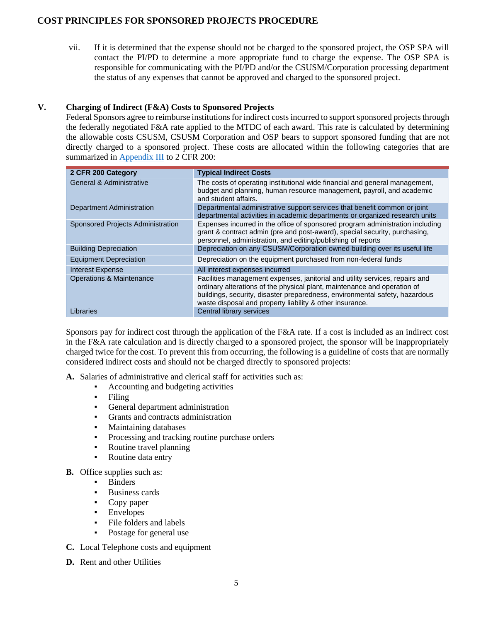vii. If it is determined that the expense should not be charged to the sponsored project, the OSP SPA will contact the PI/PD to determine a more appropriate fund to charge the expense. The OSP SPA is responsible for communicating with the PI/PD and/or the CSUSM/Corporation processing department the status of any expenses that cannot be approved and charged to the sponsored project.

## **V. Charging of Indirect (F&A) Costs to Sponsored Projects**

Federal Sponsors agree to reimburse institutions for indirect costs incurred to support sponsored projects through the federally negotiated F&A rate applied to the MTDC of each award. This rate is calculated by determining the allowable costs CSUSM, CSUSM Corporation and OSP bears to support sponsored funding that are not directly charged to a sponsored project. These costs are allocated within the following categories that are summarized in [Appendix III](http://www.ecfr.gov/cgi-bin/text-idx?SID=7200dfd65bfcaa7ba4f73a512b9fc8c3&mc=true&node=pt2.1.200&rgn=div5#ap2.1.200_1521.iii) to 2 CFR 200:

| 2 CFR 200 Category                  | <b>Typical Indirect Costs</b>                                                                                                                                                                                                                                                                       |
|-------------------------------------|-----------------------------------------------------------------------------------------------------------------------------------------------------------------------------------------------------------------------------------------------------------------------------------------------------|
| General & Administrative            | The costs of operating institutional wide financial and general management,<br>budget and planning, human resource management, payroll, and academic<br>and student affairs.                                                                                                                        |
| <b>Department Administration</b>    | Departmental administrative support services that benefit common or joint<br>departmental activities in academic departments or organized research units                                                                                                                                            |
| Sponsored Projects Administration   | Expenses incurred in the office of sponsored program administration including<br>grant & contract admin (pre and post-award), special security, purchasing,<br>personnel, administration, and editing/publishing of reports                                                                         |
| <b>Building Depreciation</b>        | Depreciation on any CSUSM/Corporation owned building over its useful life                                                                                                                                                                                                                           |
| <b>Equipment Depreciation</b>       | Depreciation on the equipment purchased from non-federal funds                                                                                                                                                                                                                                      |
| Interest Expense                    | All interest expenses incurred                                                                                                                                                                                                                                                                      |
| <b>Operations &amp; Maintenance</b> | Facilities management expenses, janitorial and utility services, repairs and<br>ordinary alterations of the physical plant, maintenance and operation of<br>buildings, security, disaster preparedness, environmental safety, hazardous<br>waste disposal and property liability & other insurance. |
| Libraries                           | Central library services                                                                                                                                                                                                                                                                            |

Sponsors pay for indirect cost through the application of the F&A rate. If a cost is included as an indirect cost in the F&A rate calculation and is directly charged to a sponsored project, the sponsor will be inappropriately charged twice for the cost. To prevent this from occurring, the following is a guideline of costs that are normally considered indirect costs and should not be charged directly to sponsored projects:

**A.** Salaries of administrative and clerical staff for activities such as:

- Accounting and budgeting activities
- Filing
- General department administration
- Grants and contracts administration
- **Maintaining databases**
- **•** Processing and tracking routine purchase orders
- Routine travel planning
- Routine data entry
- **B.** Office supplies such as:
	- **Binders**
	- **Business cards**
	- Copy paper
	- **Envelopes**
	- File folders and labels
	- Postage for general use
- **C.** Local Telephone costs and equipment
- **D.** Rent and other Utilities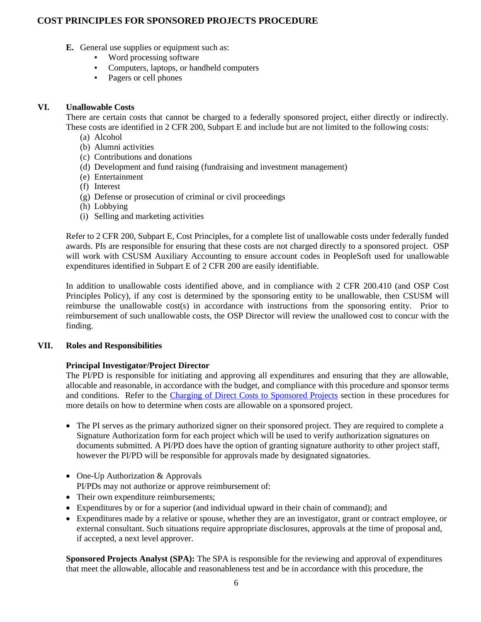- **E.** General use supplies or equipment such as:
	- Word processing software
	- Computers, laptops, or handheld computers
	- Pagers or cell phones

## **VI. Unallowable Costs**

There are certain costs that cannot be charged to a federally sponsored project, either directly or indirectly. These costs are identified in 2 CFR 200, Subpart E and include but are not limited to the following costs:

- (a) Alcohol
- (b) Alumni activities
- (c) Contributions and donations
- (d) Development and fund raising (fundraising and investment management)
- (e) Entertainment
- (f) Interest
- (g) Defense or prosecution of criminal or civil proceedings
- (h) Lobbying
- (i) Selling and marketing activities

Refer to 2 CFR 200, Subpart E, Cost Principles, for a complete list of unallowable costs under federally funded awards. PIs are responsible for ensuring that these costs are not charged directly to a sponsored project. OSP will work with CSUSM Auxiliary Accounting to ensure account codes in PeopleSoft used for unallowable expenditures identified in Subpart E of 2 CFR 200 are easily identifiable.

In addition to unallowable costs identified above, and in compliance with 2 CFR 200.410 (and OSP Cost Principles Policy), if any cost is determined by the sponsoring entity to be unallowable, then CSUSM will reimburse the unallowable cost(s) in accordance with instructions from the sponsoring entity. Prior to reimbursement of such unallowable costs, the OSP Director will review the unallowed cost to concur with the finding.

### **VII. Roles and Responsibilities**

## **Principal Investigator/Project Director**

The PI/PD is responsible for initiating and approving all expenditures and ensuring that they are allowable, allocable and reasonable, in accordance with the budget, and compliance with this procedure and sponsor terms and conditions. Refer to the Charging of Direct Costs to Sponsored Projects section in these procedures for more details on how to determine when costs are allowable on a sponsored project.

- The PI serves as the primary authorized signer on their sponsored project. They are required to complete a Signature Authorization form for each project which will be used to verify authorization signatures on documents submitted. A PI/PD does have the option of granting signature authority to other project staff, however the PI/PD will be responsible for approvals made by designated signatories.
- One-Up Authorization & Approvals PI/PDs may not authorize or approve reimbursement of:
- Their own expenditure reimbursements;
- Expenditures by or for a superior (and individual upward in their chain of command); and
- Expenditures made by a relative or spouse, whether they are an investigator, grant or contract employee, or external consultant. Such situations require appropriate disclosures, approvals at the time of proposal and, if accepted, a next level approver.

**Sponsored Projects Analyst (SPA):** The SPA is responsible for the reviewing and approval of expenditures that meet the allowable, allocable and reasonableness test and be in accordance with this procedure, the